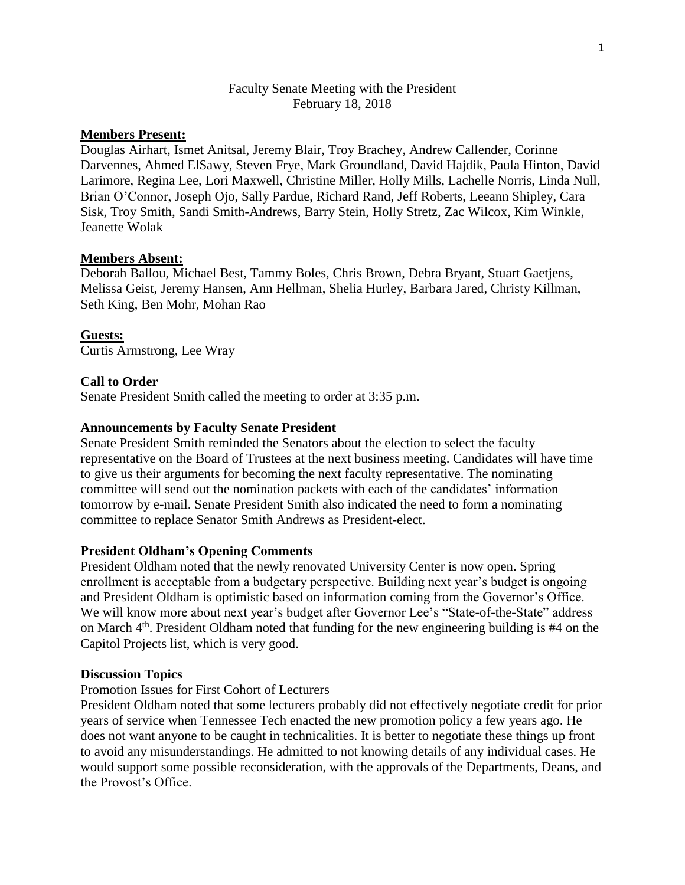## Faculty Senate Meeting with the President February 18, 2018

## **Members Present:**

Douglas Airhart, Ismet Anitsal, Jeremy Blair, Troy Brachey, Andrew Callender, Corinne Darvennes, Ahmed ElSawy, Steven Frye, Mark Groundland, David Hajdik, Paula Hinton, David Larimore, Regina Lee, Lori Maxwell, Christine Miller, Holly Mills, Lachelle Norris, Linda Null, Brian O'Connor, Joseph Ojo, Sally Pardue, Richard Rand, Jeff Roberts, Leeann Shipley, Cara Sisk, Troy Smith, Sandi Smith-Andrews, Barry Stein, Holly Stretz, Zac Wilcox, Kim Winkle, Jeanette Wolak

### **Members Absent:**

Deborah Ballou, Michael Best, Tammy Boles, Chris Brown, Debra Bryant, Stuart Gaetjens, Melissa Geist, Jeremy Hansen, Ann Hellman, Shelia Hurley, Barbara Jared, Christy Killman, Seth King, Ben Mohr, Mohan Rao

### **Guests:**

Curtis Armstrong, Lee Wray

### **Call to Order**

Senate President Smith called the meeting to order at 3:35 p.m.

### **Announcements by Faculty Senate President**

Senate President Smith reminded the Senators about the election to select the faculty representative on the Board of Trustees at the next business meeting. Candidates will have time to give us their arguments for becoming the next faculty representative. The nominating committee will send out the nomination packets with each of the candidates' information tomorrow by e-mail. Senate President Smith also indicated the need to form a nominating committee to replace Senator Smith Andrews as President-elect.

#### **President Oldham's Opening Comments**

President Oldham noted that the newly renovated University Center is now open. Spring enrollment is acceptable from a budgetary perspective. Building next year's budget is ongoing and President Oldham is optimistic based on information coming from the Governor's Office. We will know more about next year's budget after Governor Lee's "State-of-the-State" address on March  $4<sup>th</sup>$ . President Oldham noted that funding for the new engineering building is #4 on the Capitol Projects list, which is very good.

#### **Discussion Topics**

#### Promotion Issues for First Cohort of Lecturers

President Oldham noted that some lecturers probably did not effectively negotiate credit for prior years of service when Tennessee Tech enacted the new promotion policy a few years ago. He does not want anyone to be caught in technicalities. It is better to negotiate these things up front to avoid any misunderstandings. He admitted to not knowing details of any individual cases. He would support some possible reconsideration, with the approvals of the Departments, Deans, and the Provost's Office.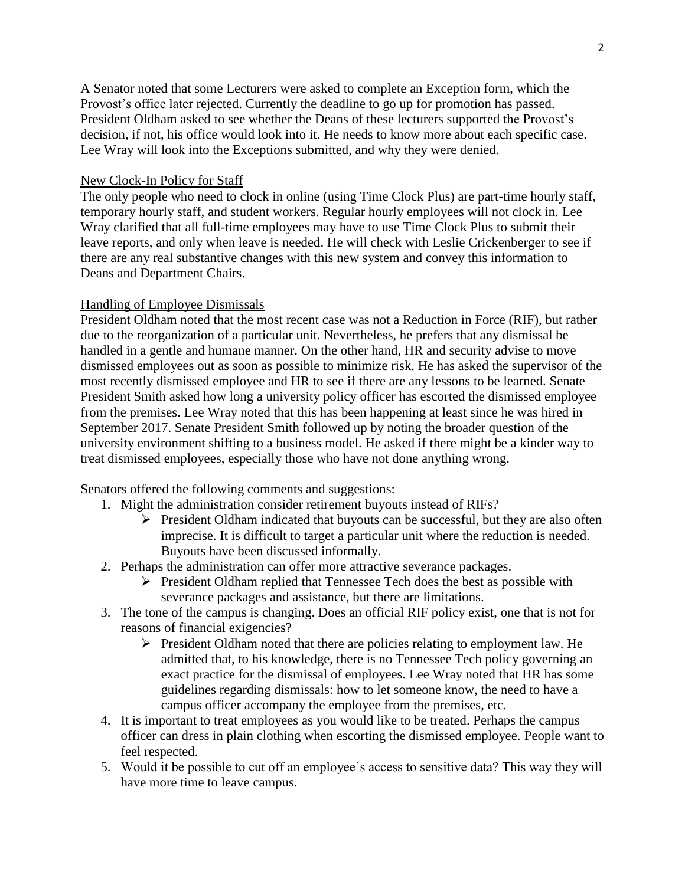A Senator noted that some Lecturers were asked to complete an Exception form, which the Provost's office later rejected. Currently the deadline to go up for promotion has passed. President Oldham asked to see whether the Deans of these lecturers supported the Provost's decision, if not, his office would look into it. He needs to know more about each specific case. Lee Wray will look into the Exceptions submitted, and why they were denied.

## New Clock-In Policy for Staff

The only people who need to clock in online (using Time Clock Plus) are part-time hourly staff, temporary hourly staff, and student workers. Regular hourly employees will not clock in. Lee Wray clarified that all full-time employees may have to use Time Clock Plus to submit their leave reports, and only when leave is needed. He will check with Leslie Crickenberger to see if there are any real substantive changes with this new system and convey this information to Deans and Department Chairs.

### Handling of Employee Dismissals

President Oldham noted that the most recent case was not a Reduction in Force (RIF), but rather due to the reorganization of a particular unit. Nevertheless, he prefers that any dismissal be handled in a gentle and humane manner. On the other hand, HR and security advise to move dismissed employees out as soon as possible to minimize risk. He has asked the supervisor of the most recently dismissed employee and HR to see if there are any lessons to be learned. Senate President Smith asked how long a university policy officer has escorted the dismissed employee from the premises. Lee Wray noted that this has been happening at least since he was hired in September 2017. Senate President Smith followed up by noting the broader question of the university environment shifting to a business model. He asked if there might be a kinder way to treat dismissed employees, especially those who have not done anything wrong.

Senators offered the following comments and suggestions:

- 1. Might the administration consider retirement buyouts instead of RIFs?
	- $\triangleright$  President Oldham indicated that buyouts can be successful, but they are also often imprecise. It is difficult to target a particular unit where the reduction is needed. Buyouts have been discussed informally.
- 2. Perhaps the administration can offer more attractive severance packages.
	- $\triangleright$  President Oldham replied that Tennessee Tech does the best as possible with severance packages and assistance, but there are limitations.
- 3. The tone of the campus is changing. Does an official RIF policy exist, one that is not for reasons of financial exigencies?
	- President Oldham noted that there are policies relating to employment law. He admitted that, to his knowledge, there is no Tennessee Tech policy governing an exact practice for the dismissal of employees. Lee Wray noted that HR has some guidelines regarding dismissals: how to let someone know, the need to have a campus officer accompany the employee from the premises, etc.
- 4. It is important to treat employees as you would like to be treated. Perhaps the campus officer can dress in plain clothing when escorting the dismissed employee. People want to feel respected.
- 5. Would it be possible to cut off an employee's access to sensitive data? This way they will have more time to leave campus.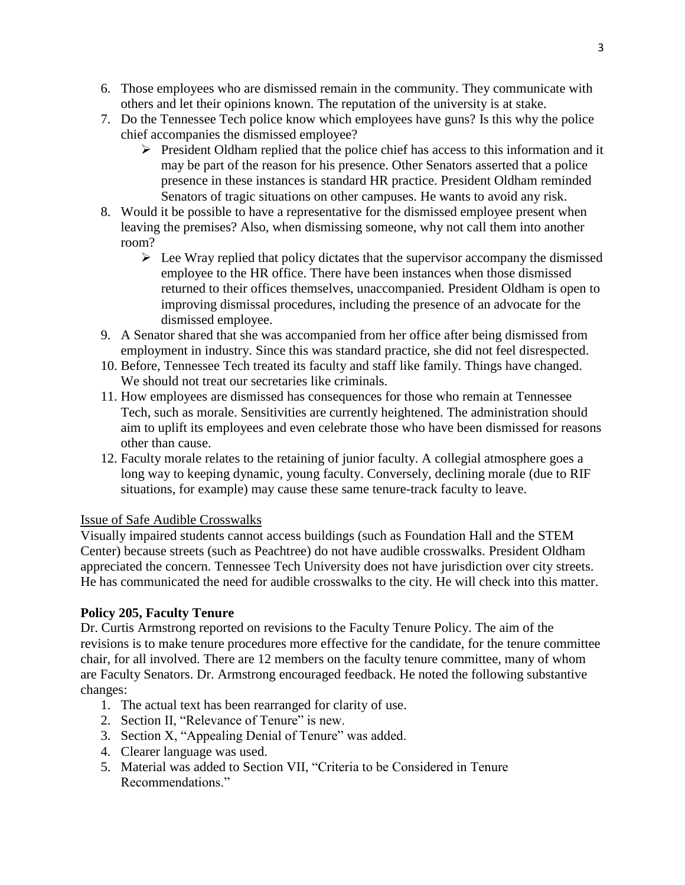- 6. Those employees who are dismissed remain in the community. They communicate with others and let their opinions known. The reputation of the university is at stake.
- 7. Do the Tennessee Tech police know which employees have guns? Is this why the police chief accompanies the dismissed employee?
	- $\triangleright$  President Oldham replied that the police chief has access to this information and it may be part of the reason for his presence. Other Senators asserted that a police presence in these instances is standard HR practice. President Oldham reminded Senators of tragic situations on other campuses. He wants to avoid any risk.
- 8. Would it be possible to have a representative for the dismissed employee present when leaving the premises? Also, when dismissing someone, why not call them into another room?
	- $\triangleright$  Lee Wray replied that policy dictates that the supervisor accompany the dismissed employee to the HR office. There have been instances when those dismissed returned to their offices themselves, unaccompanied. President Oldham is open to improving dismissal procedures, including the presence of an advocate for the dismissed employee.
- 9. A Senator shared that she was accompanied from her office after being dismissed from employment in industry. Since this was standard practice, she did not feel disrespected.
- 10. Before, Tennessee Tech treated its faculty and staff like family. Things have changed. We should not treat our secretaries like criminals.
- 11. How employees are dismissed has consequences for those who remain at Tennessee Tech, such as morale. Sensitivities are currently heightened. The administration should aim to uplift its employees and even celebrate those who have been dismissed for reasons other than cause.
- 12. Faculty morale relates to the retaining of junior faculty. A collegial atmosphere goes a long way to keeping dynamic, young faculty. Conversely, declining morale (due to RIF situations, for example) may cause these same tenure-track faculty to leave.

## Issue of Safe Audible Crosswalks

Visually impaired students cannot access buildings (such as Foundation Hall and the STEM Center) because streets (such as Peachtree) do not have audible crosswalks. President Oldham appreciated the concern. Tennessee Tech University does not have jurisdiction over city streets. He has communicated the need for audible crosswalks to the city. He will check into this matter.

# **Policy 205, Faculty Tenure**

Dr. Curtis Armstrong reported on revisions to the Faculty Tenure Policy. The aim of the revisions is to make tenure procedures more effective for the candidate, for the tenure committee chair, for all involved. There are 12 members on the faculty tenure committee, many of whom are Faculty Senators. Dr. Armstrong encouraged feedback. He noted the following substantive changes:

- 1. The actual text has been rearranged for clarity of use.
- 2. Section II, "Relevance of Tenure" is new.
- 3. Section X, "Appealing Denial of Tenure" was added.
- 4. Clearer language was used.
- 5. Material was added to Section VII, "Criteria to be Considered in Tenure Recommendations."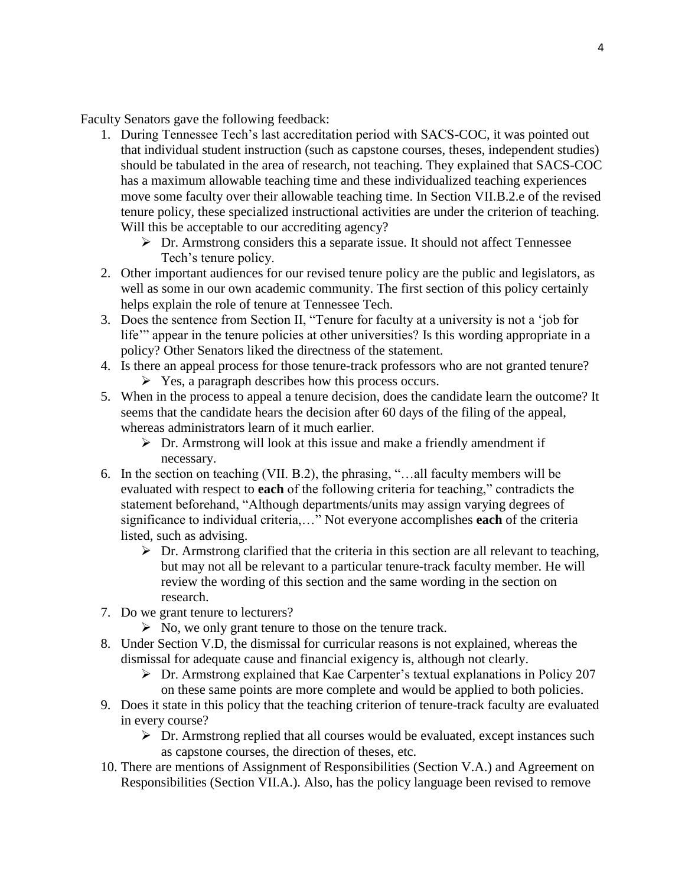Faculty Senators gave the following feedback:

- 1. During Tennessee Tech's last accreditation period with SACS-COC, it was pointed out that individual student instruction (such as capstone courses, theses, independent studies) should be tabulated in the area of research, not teaching. They explained that SACS-COC has a maximum allowable teaching time and these individualized teaching experiences move some faculty over their allowable teaching time. In Section VII.B.2.e of the revised tenure policy, these specialized instructional activities are under the criterion of teaching. Will this be acceptable to our accrediting agency?
	- $\triangleright$  Dr. Armstrong considers this a separate issue. It should not affect Tennessee Tech's tenure policy.
- 2. Other important audiences for our revised tenure policy are the public and legislators, as well as some in our own academic community. The first section of this policy certainly helps explain the role of tenure at Tennessee Tech.
- 3. Does the sentence from Section II, "Tenure for faculty at a university is not a 'job for life'" appear in the tenure policies at other universities? Is this wording appropriate in a policy? Other Senators liked the directness of the statement.
- 4. Is there an appeal process for those tenure-track professors who are not granted tenure?  $\triangleright$  Yes, a paragraph describes how this process occurs.
- 5. When in the process to appeal a tenure decision, does the candidate learn the outcome? It seems that the candidate hears the decision after 60 days of the filing of the appeal, whereas administrators learn of it much earlier.
	- $\triangleright$  Dr. Armstrong will look at this issue and make a friendly amendment if necessary.
- 6. In the section on teaching (VII. B.2), the phrasing, "…all faculty members will be evaluated with respect to **each** of the following criteria for teaching," contradicts the statement beforehand, "Although departments/units may assign varying degrees of significance to individual criteria,…" Not everyone accomplishes **each** of the criteria listed, such as advising.
	- $\triangleright$  Dr. Armstrong clarified that the criteria in this section are all relevant to teaching, but may not all be relevant to a particular tenure-track faculty member. He will review the wording of this section and the same wording in the section on research.
- 7. Do we grant tenure to lecturers?
	- $\triangleright$  No, we only grant tenure to those on the tenure track.
- 8. Under Section V.D, the dismissal for curricular reasons is not explained, whereas the dismissal for adequate cause and financial exigency is, although not clearly.
	- $\triangleright$  Dr. Armstrong explained that Kae Carpenter's textual explanations in Policy 207 on these same points are more complete and would be applied to both policies.
- 9. Does it state in this policy that the teaching criterion of tenure-track faculty are evaluated in every course?
	- $\triangleright$  Dr. Armstrong replied that all courses would be evaluated, except instances such as capstone courses, the direction of theses, etc.
- 10. There are mentions of Assignment of Responsibilities (Section V.A.) and Agreement on Responsibilities (Section VII.A.). Also, has the policy language been revised to remove